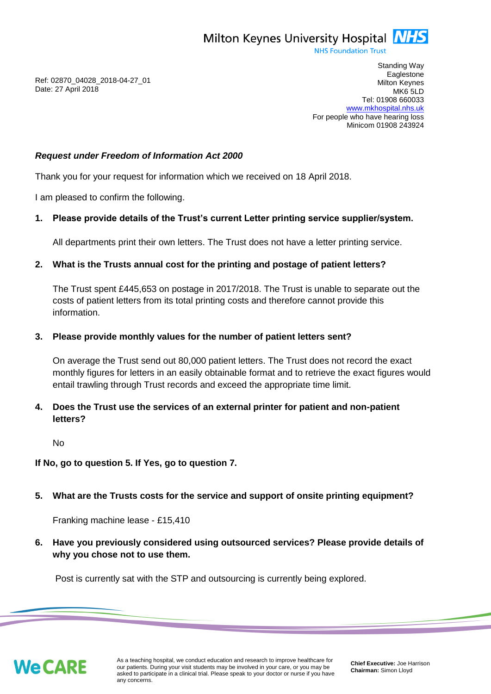

**NHS Foundation Trust** 

Ref: 02870\_04028\_2018-04-27\_01 Date: 27 April 2018

Standing Way **Eaglestone** Milton Keynes MK6 5LD Tel: 01908 660033 [www.mkhospital.nhs.uk](http://www.mkhospital.nhs.uk/) For people who have hearing loss Minicom 01908 243924

### *Request under Freedom of Information Act 2000*

Thank you for your request for information which we received on 18 April 2018.

I am pleased to confirm the following.

## **1. Please provide details of the Trust's current Letter printing service supplier/system.**

All departments print their own letters. The Trust does not have a letter printing service.

## **2. What is the Trusts annual cost for the printing and postage of patient letters?**

The Trust spent £445,653 on postage in 2017/2018. The Trust is unable to separate out the costs of patient letters from its total printing costs and therefore cannot provide this information.

### **3. Please provide monthly values for the number of patient letters sent?**

On average the Trust send out 80,000 patient letters. The Trust does not record the exact monthly figures for letters in an easily obtainable format and to retrieve the exact figures would entail trawling through Trust records and exceed the appropriate time limit.

# **4. Does the Trust use the services of an external printer for patient and non-patient letters?**

No

### **If No, go to question 5. If Yes, go to question 7.**

# **5. What are the Trusts costs for the service and support of onsite printing equipment?**

Franking machine lease - £15,410

**6. Have you previously considered using outsourced services? Please provide details of why you chose not to use them.**

Post is currently sat with the STP and outsourcing is currently being explored.